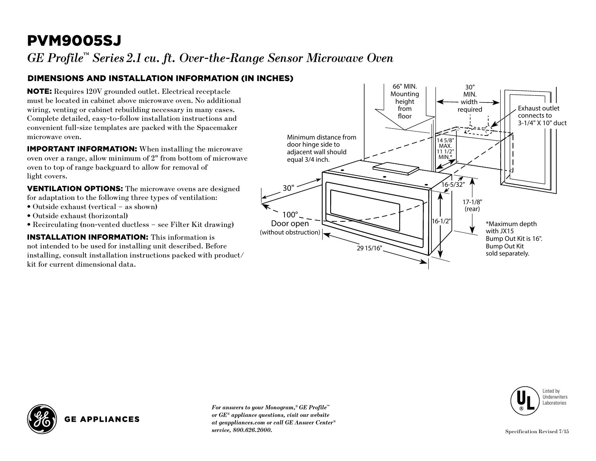## PVM9005SJ

*GE Profile™ Series 2.1 cu. ft. Over-the-Range Sensor Microwave Oven*

### Dimensions and Installation Information (in inches)

**NOTE:** Requires 120V grounded outlet. Electrical receptacle must be located in cabinet above microwave oven. No additional wiring, venting or cabinet rebuilding necessary in many cases. Complete detailed, easy-to-follow installation instructions and convenient full-size templates are packed with the Spacemaker microwave oven.

**IMPORTANT INFORMATION:** When installing the microwave oven over a range, allow minimum of 2" from bottom of microwave oven to top of range backguard to allow for removal of light covers.

**VENTILATION OPTIONS:** The microwave ovens are designed for adaptation to the following three types of ventilation:

- Outside exhaust (vertical as shown)
- Outside exhaust (horizontal)
- Recirculating (non-vented ductless see Filter Kit drawing)

**INSTALLATION INFORMATION:** This information is not intended to be used for installing unit described. Before installing, consult installation instructions packed with product/ kit for current dimensional data.





**GE APPLIANCES** 

*For answers to your Monogram,® GE Profile™ or GE® appliance questions, visit our website at geappliances.com or call GE Answer Center® service, 800.626.2000.*

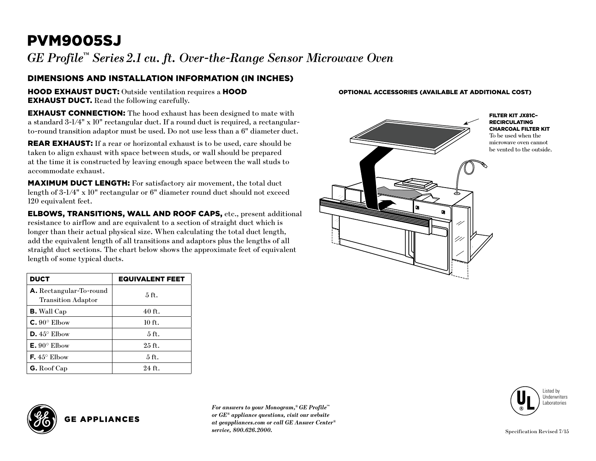# PVM9005SJ

*GE Profile™ Series 2.1 cu. ft. Over-the-Range Sensor Microwave Oven*

### Dimensions and Installation Information (in inches)

**HOOD EXHAUST DUCT:** Outside ventilation requires a **HOOD EXHAUST DUCT.** Read the following carefully.

**EXHAUST CONNECTION:** The hood exhaust has been designed to mate with a standard 3-1/4" x 10" rectangular duct. If a round duct is required, a rectangularto-round transition adaptor must be used. Do not use less than a 6" diameter duct.

**REAR EXHAUST:** If a rear or horizontal exhaust is to be used, care should be taken to align exhaust with space between studs, or wall should be prepared at the time it is constructed by leaving enough space between the wall studs to accommodate exhaust.

MAXIMUM DUCT LENGTH: For satisfactory air movement, the total duct length of 3-1/4" x 10" rectangular or 6" diameter round duct should not exceed 120 equivalent feet.

Elbows, Transitions, Wall and Roof Caps, etc., present additional resistance to airflow and are equivalent to a section of straight duct which is longer than their actual physical size. When calculating the total duct length, add the equivalent length of all transitions and adaptors plus the lengths of all straight duct sections. The chart below shows the approximate feet of equivalent length of some typical ducts.

| <b>DUCT</b>                                                 | <b>EQUIVALENT FEET</b> |
|-------------------------------------------------------------|------------------------|
| <b>A.</b> Rectangular-To-round<br><b>Transition Adaptor</b> | $5$ ft.                |
| <b>B.</b> Wall Cap                                          | 40 ft.                 |
| $C.90^\circ$ Elbow                                          | 10 ft.                 |
| $D.45^{\circ}$ Elbow                                        | $5$ ft.                |
| $E. 90^{\circ}$ Elbow                                       | $25$ ft.               |
| <b>F.</b> $45^{\circ}$ Elbow                                | 5 ft.                  |
| <b>G.</b> Roof Cap                                          | $24$ ft.               |

**GE APPLIANCES** 

*For answers to your Monogram,® GE Profile™ or GE® appliance questions, visit our website at geappliances.com or call GE Answer Center® service, 800.626.2000.*

#### Optional Accessories (Available at additional cost)